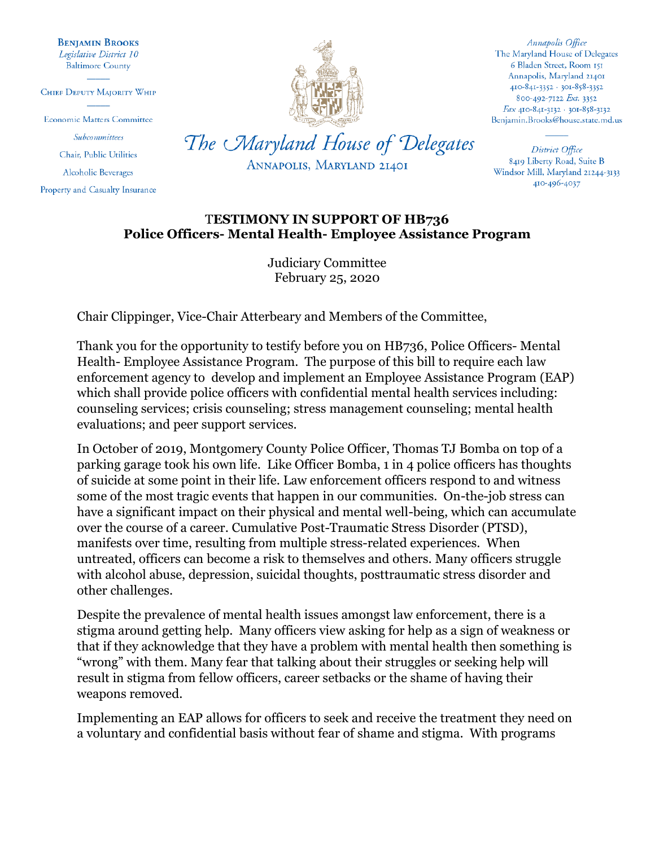**BENJAMIN BROOKS** Legislative District 10 **Baltimore County** 

CHIEF DEPUTY MAJORITY WHIP

**Economic Matters Committee** 

Subcommittees Chair, Public Utilities

**Alcoholic Beverages** 

Property and Casualty Insurance



Annapolis Office The Maryland House of Delegates 6 Bladen Street, Room 151 Annapolis, Maryland 21401 410-841-3352 · 301-858-3352 800-492-7122 Ext. 3352 Fax 410-841-3132 · 301-858-3132 Benjamin.Brooks@house.state.md.us

District Office 8419 Liberty Road, Suite B Windsor Mill, Maryland 21244-3133 410-496-4037

## T**ESTIMONY IN SUPPORT OF HB736 Police Officers- Mental Health- Employee Assistance Program**

ANNAPOLIS, MARYLAND 21401

Judiciary Committee February 25, 2020

Chair Clippinger, Vice-Chair Atterbeary and Members of the Committee,

Thank you for the opportunity to testify before you on HB736, Police Officers- Mental Health- Employee Assistance Program. The purpose of this bill to require each law enforcement agency to develop and implement an Employee Assistance Program (EAP) which shall provide police officers with confidential mental health services including: counseling services; crisis counseling; stress management counseling; mental health evaluations; and peer support services.

In October of 2019, Montgomery County Police Officer, Thomas TJ Bomba on top of a parking garage took his own life. Like Officer Bomba, 1 in 4 police officers has thoughts of suicide at some point in their life. Law enforcement officers respond to and witness some of the most tragic events that happen in our communities. On-the-job stress can have a significant impact on their physical and mental well-being, which can accumulate over the course of a career. Cumulative Post-Traumatic Stress Disorder (PTSD), manifests over time, resulting from multiple stress-related experiences. When untreated, officers can become a risk to themselves and others. Many officers struggle with alcohol abuse, depression, suicidal thoughts, posttraumatic stress disorder and other challenges.

Despite the prevalence of mental health issues amongst law enforcement, there is a stigma around getting help. Many officers view asking for help as a sign of weakness or that if they acknowledge that they have a problem with mental health then something is "wrong" with them. Many fear that talking about their struggles or seeking help will result in stigma from fellow officers, career setbacks or the shame of having their weapons removed.

Implementing an EAP allows for officers to seek and receive the treatment they need on a voluntary and confidential basis without fear of shame and stigma. With programs